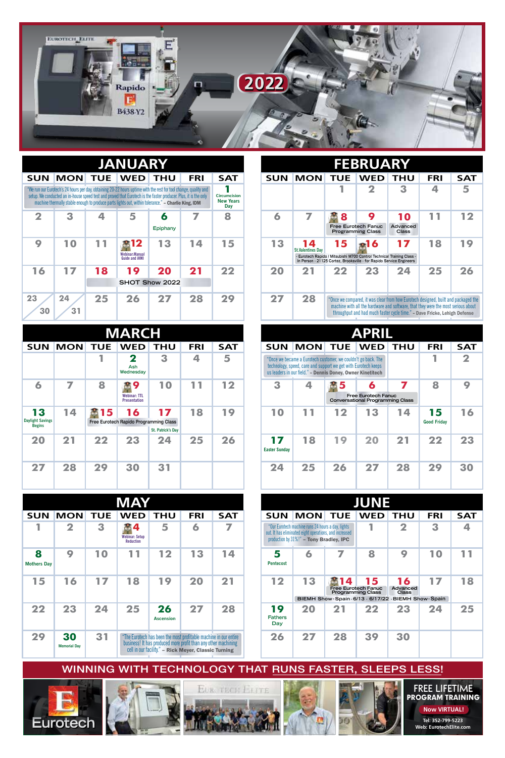

|                         | <b>JANUARY</b> |    |                                                                                                                                                                                                                                                                                                                                             |                |            |                                                |            |                                |            | <b>FEBRUARY</b>                                                                                                                                                                                                                                     |                   |            |            |
|-------------------------|----------------|----|---------------------------------------------------------------------------------------------------------------------------------------------------------------------------------------------------------------------------------------------------------------------------------------------------------------------------------------------|----------------|------------|------------------------------------------------|------------|--------------------------------|------------|-----------------------------------------------------------------------------------------------------------------------------------------------------------------------------------------------------------------------------------------------------|-------------------|------------|------------|
| <b>SUN</b>              |                |    | <b>MON TUE WED</b>                                                                                                                                                                                                                                                                                                                          | <b>THU</b>     | <b>FRI</b> | <b>SAT</b>                                     | <b>SUN</b> | <b>MON</b>                     | <b>TUE</b> | <b>WED</b>                                                                                                                                                                                                                                          | <b>THU</b>        | <b>FRI</b> | <b>SAT</b> |
|                         |                |    | "We run our Eurotech's 24 hours per day, obtaining 20-22 hours uptime with the rest for tool change, quality and<br>setup. We conducted an in-house speed test and proved that Eurotech is the faster producer. Plus, it is the only<br>machine thermally stable enough to produce parts lights out, within tolerance." - Charlie King, IDM |                |            | <b>Circumcision</b><br><b>New Years</b><br>Day |            |                                |            | 2                                                                                                                                                                                                                                                   | 3                 |            | 5          |
| $\overline{\mathbf{2}}$ | 3              |    | 5                                                                                                                                                                                                                                                                                                                                           | 6              | 7          | 8                                              | 6          |                                | 8          | 9                                                                                                                                                                                                                                                   | 10                | 11         | 12         |
|                         |                |    |                                                                                                                                                                                                                                                                                                                                             | Epiphany       |            |                                                |            |                                |            | <b>Free Eurotech Fanuc</b><br><b>Programming Class</b>                                                                                                                                                                                              | Advanced<br>Class |            |            |
| 9                       | 10             | 11 | 812                                                                                                                                                                                                                                                                                                                                         | 13             | 14         | 15                                             | 13         | 14<br><b>St.Valentines Dav</b> | 15         | <b>a16</b>                                                                                                                                                                                                                                          | 17                | 18         | 19         |
|                         |                |    | <b>Webinar:Manual</b><br><b>Guide and iHMI</b>                                                                                                                                                                                                                                                                                              |                |            |                                                |            |                                |            | - Eurotech Rapido / Mitsubishi M700 Control Technical Training Class -<br>In Person - 21125 Cortez. Brooksville - for Rapido Service Engineers                                                                                                      |                   |            |            |
| 16                      | 17             | 18 | 19                                                                                                                                                                                                                                                                                                                                          | 20             | 21         | 22                                             | 20         | 21                             | 22         | 23                                                                                                                                                                                                                                                  | 24                | 25         | 26         |
|                         |                |    |                                                                                                                                                                                                                                                                                                                                             | SHOT Show 2022 |            |                                                |            |                                |            |                                                                                                                                                                                                                                                     |                   |            |            |
| 23<br>30                | 24<br>31       | 25 | 26                                                                                                                                                                                                                                                                                                                                          | 27             | 28         | 29                                             | 27         | 28                             |            | "Once we compared, it was clear from how Eurotech designed, built and packaged th<br>machine with all the hardware and software, that they were the most serious about<br>throughput and had much faster cycle time." - Dave Fricke, Lehigh Defense |                   |            |            |

|                                                | <b>MARCH</b> |            |                                                  |                         |            |            |                            |                                                                                                                                                                                               |                | <b>APRIL</b>                                                        |            |                          |                         |
|------------------------------------------------|--------------|------------|--------------------------------------------------|-------------------------|------------|------------|----------------------------|-----------------------------------------------------------------------------------------------------------------------------------------------------------------------------------------------|----------------|---------------------------------------------------------------------|------------|--------------------------|-------------------------|
| <b>SUN</b>                                     | <b>MON</b>   | <b>TUE</b> | <b>WED</b>                                       | <b>THU</b>              | <b>FRI</b> | <b>SAT</b> | <b>SUN</b>                 |                                                                                                                                                                                               | <b>MON TUE</b> | <b>WED</b>                                                          | <b>THU</b> | <b>FRI</b>               | <b>SAT</b>              |
|                                                |              |            | 2<br>Ash<br>Wednesday                            | 3                       | 4          | 5          |                            | "Once we became a Eurotech customer, we couldn't go back. The<br>technology, speed, care and support we get with Eurotech keeps<br>us leaders in our field." - Dennis Doney, Owner Kinetitech |                |                                                                     |            |                          | $\overline{\mathbf{2}}$ |
| 6                                              | 7            | 8          | 畵9<br><b>Webinar: TTL</b><br><b>Presentation</b> | 10                      | 11         | 12         | 3                          |                                                                                                                                                                                               | x 5            | 6<br>Free Eurotech Fanuc<br><b>Conversational Programming Class</b> | 7          | 8                        | 9                       |
| 13<br><b>Daylight Savings</b><br><b>Begins</b> | 14           | 15         | 16<br>Free Eurotech Rapido Programming Class     | 17<br>St. Patrick's Day | 18         | 19         | 10                         | 11                                                                                                                                                                                            | 12             | 13                                                                  | 14         | 15<br><b>Good Friday</b> | 16                      |
| 20                                             | 21           | 22         | 23                                               | 24                      | 25         | 26         | 17<br><b>Easter Sunday</b> | 18                                                                                                                                                                                            | 19             | 20                                                                  | 21         | 22                       | 23                      |
| 27                                             | 28           | 29         | 30                                               | 31                      |            |            | 24                         | 25                                                                                                                                                                                            | 26             | 27                                                                  | 28         | 29                       | 30                      |

|                         |                           |            | <b>MAY</b>                                     |                                                                                                                                                                                            |            |            |                                                  |
|-------------------------|---------------------------|------------|------------------------------------------------|--------------------------------------------------------------------------------------------------------------------------------------------------------------------------------------------|------------|------------|--------------------------------------------------|
| <b>SUN</b>              | <b>MON</b>                | <b>TUE</b> | <b>WED</b>                                     | <b>THU</b>                                                                                                                                                                                 | <b>FRI</b> | <b>SAT</b> | <b>SUN</b>                                       |
| 1                       | 2                         | З          | 4<br><b>Webinar: Setup</b><br><b>Reduction</b> | 5                                                                                                                                                                                          | 6          | 7          | "Our Euroted<br>out. It has elir<br>production b |
| 8<br><b>Mothers Day</b> | 9                         | 10         | 11                                             | 12                                                                                                                                                                                         | 13         | 14         | Pentecost                                        |
| 15                      | 16                        | 17         | 18                                             | 19                                                                                                                                                                                         | 20         | 21         | 12                                               |
| 22                      | 23                        | 24         | 25                                             | 26<br><b>Ascension</b>                                                                                                                                                                     | 27         | 28         | 19<br><b>Fathers</b><br>Day                      |
| 29                      | 30<br><b>Memorial Day</b> | 31         |                                                | "The Eurotech has been the most profitable machine in our entire<br>business! It has produced more profit than any other machining<br>cell in our facility." - Rick Meyer, Classic Turning |            |            | 26                                               |

| FEBRUARY  |                                |            |                                                                                                                                                      |                                |     |            |  |  |  |  |  |  |  |
|-----------|--------------------------------|------------|------------------------------------------------------------------------------------------------------------------------------------------------------|--------------------------------|-----|------------|--|--|--|--|--|--|--|
| <b>UN</b> | <b>MON</b>                     | <b>TUE</b> | <b>WED</b>                                                                                                                                           | <b>THU</b>                     | FRI | <b>SAT</b> |  |  |  |  |  |  |  |
|           |                                |            | $\mathbf 2$                                                                                                                                          | 3                              | 4   | 5          |  |  |  |  |  |  |  |
| 6         |                                | 8          | 9<br><b>Free Eurotech Fanuc</b><br><b>Programming Class</b>                                                                                          | 10<br>Advanced<br><b>Class</b> | 11  | 12         |  |  |  |  |  |  |  |
| 13        | 14<br><b>St.Valentines Dav</b> | 15         | 16<br>- Eurotech Rapido / Mitsubishi M700 Control Technical Training Class -<br>In Person - 21125 Cortez, Brooksville - for Rapido Service Engineers | 17                             | 18  | 19         |  |  |  |  |  |  |  |
| 20        | 21                             | 22         | 23                                                                                                                                                   | 24                             | 25  | 26         |  |  |  |  |  |  |  |

| <b>ARCH</b>                      |                                                   |            |            |                            |                                                                                                                                                                                               |     | <b>APRIL</b>                                                        |            |                          |  |
|----------------------------------|---------------------------------------------------|------------|------------|----------------------------|-----------------------------------------------------------------------------------------------------------------------------------------------------------------------------------------------|-----|---------------------------------------------------------------------|------------|--------------------------|--|
| VED                              | <b>THU</b>                                        | <b>FRI</b> | <b>SAT</b> | <b>SUN</b>                 | <b>MON</b>                                                                                                                                                                                    | TUE | <b>WED</b>                                                          | <b>THU</b> | <b>FRI</b>               |  |
| 2<br>Ash<br>dnesdav              | З                                                 | 4          | 5          |                            | "Once we became a Eurotech customer, we couldn't go back. The<br>technology, speed, care and support we get with Eurotech keeps<br>us leaders in our field." - Dennis Doney, Owner Kinetitech |     |                                                                     |            | 1                        |  |
| B 9<br>ebinar: TTL<br>esentation | 10                                                | 11         | 12         | 3                          | 4                                                                                                                                                                                             | 5   | 6<br>Free Eurotech Fanuc<br><b>Conversational Programming Class</b> | 7          | 8                        |  |
| 16                               | 17<br>pido Programming Class<br>St. Patrick's Day | 18         | 19         | 10                         | 1                                                                                                                                                                                             | 12  | 13                                                                  | 14         | 15<br><b>Good Friday</b> |  |
| 23                               | 24                                                | 25         | 26         | 17<br><b>Easter Sunday</b> | 18                                                                                                                                                                                            | 19  | 20                                                                  | 21         | 22                       |  |
| 30                               | 31                                                |            |            | 24                         | 25                                                                                                                                                                                            | 26  | 27                                                                  | 28         | 29                       |  |

| <b>MAY</b>              |                           |    |                                                |                                                                                                                                    |            |            | <b>JUNE</b>                 |                                                                                                                                                            |    |                                                                                                                    |                                |            |            |
|-------------------------|---------------------------|----|------------------------------------------------|------------------------------------------------------------------------------------------------------------------------------------|------------|------------|-----------------------------|------------------------------------------------------------------------------------------------------------------------------------------------------------|----|--------------------------------------------------------------------------------------------------------------------|--------------------------------|------------|------------|
| SUN                     | <b>MON TUE</b>            |    | <b>WED</b>                                     | <b>THU</b>                                                                                                                         | <b>FRI</b> | <b>SAT</b> | <b>SUN</b>                  | <b>MON TUE</b>                                                                                                                                             |    | <b>WED</b>                                                                                                         | <b>THU</b>                     | <b>FRI</b> | <b>SAT</b> |
|                         | $\mathbf 2$               | 3  | Д<br><b>Webinar: Setup</b><br><b>Reduction</b> | 5                                                                                                                                  | 6          |            |                             | "Our Eurotech machine runs 24 hours a day, lights<br>out. It has eliminated eight operations, and increased<br>production by $31\%$ !" - Tony Bradley, IPC |    |                                                                                                                    | $\overline{\mathbf{2}}$        | 3          | ◢          |
| 8<br><b>Aothers Day</b> | 9                         | 10 | 11                                             | 12                                                                                                                                 | 13         | 14         | 5<br><b>Pentecost</b>       | 6                                                                                                                                                          |    | 8                                                                                                                  | 9                              | 10         | 11         |
| 15                      | 16                        | 17 | 18                                             | 19                                                                                                                                 | 20         | 21         | 12                          | 13                                                                                                                                                         | 14 | 15<br><b>Free Eurotech Fanuc</b><br><b>Programming Class</b><br>BIEMH Show-Spain-6/13 - 6/17/22 - BIEMH Show-Spain | 16<br>Advanced<br><b>Class</b> | 17         | 18         |
| 22                      | 23                        | 24 | 25                                             | 26<br><b>Ascension</b>                                                                                                             | 27         | 28         | 19<br><b>Fathers</b><br>Day | 20                                                                                                                                                         | 21 | 22                                                                                                                 | 23                             | 24         | 25         |
| 29                      | 30<br><b>Memorial Dav</b> | 31 |                                                | "The Eurotech has been the most profitable machine in our entire<br>business! It has produced more profit than any other machining |            |            | 26                          | 27                                                                                                                                                         | 28 | 39                                                                                                                 | 30                             |            |            |

WINNING WITH TECHNOLOGY THAT RUNS FASTER, SLEEPS LESS!









**FREE LIFETIME**  PROGRAM TRAINING **Tel: 352-799-5223**  Web: EurotechElite.com **Now VIRTUAL!**